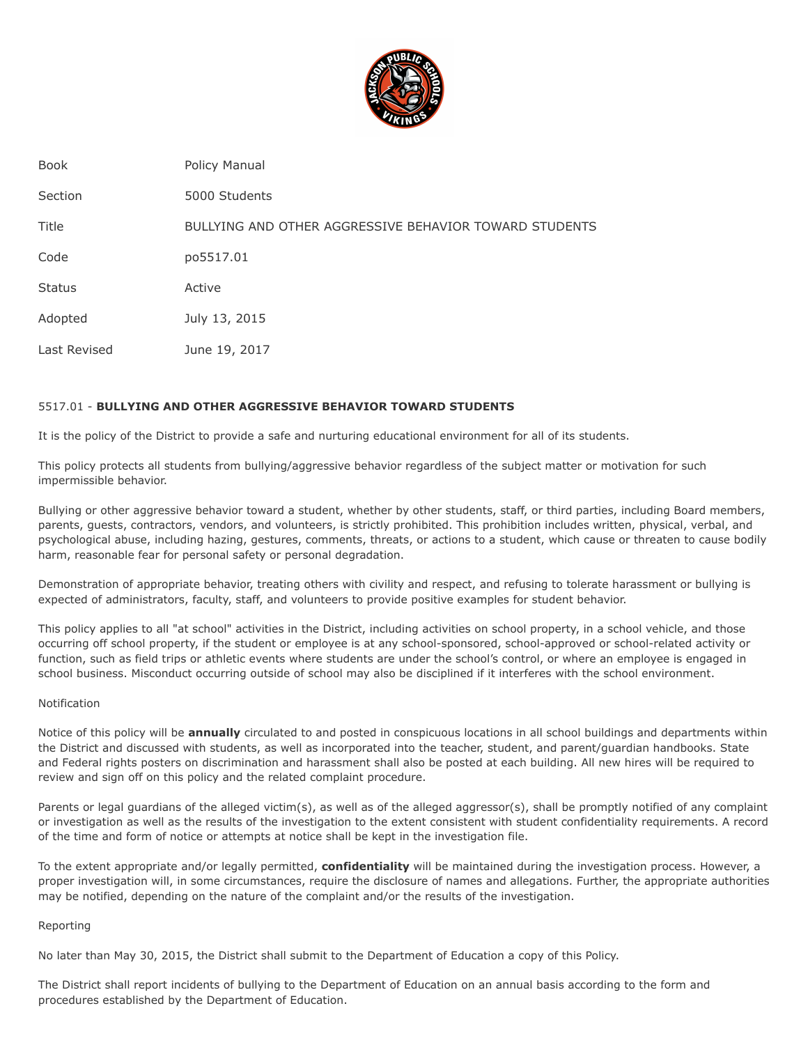

| <b>Book</b>   | Policy Manual                                          |
|---------------|--------------------------------------------------------|
| Section       | 5000 Students                                          |
| Title         | BULLYING AND OTHER AGGRESSIVE BEHAVIOR TOWARD STUDENTS |
| Code          | po5517.01                                              |
| <b>Status</b> | Active                                                 |
| Adopted       | July 13, 2015                                          |
| Last Revised  | June 19, 2017                                          |

# 5517.01 - **BULLYING AND OTHER AGGRESSIVE BEHAVIOR TOWARD STUDENTS**

It is the policy of the District to provide a safe and nurturing educational environment for all of its students.

This policy protects all students from bullying/aggressive behavior regardless of the subject matter or motivation for such impermissible behavior.

Bullying or other aggressive behavior toward a student, whether by other students, staff, or third parties, including Board members, parents, guests, contractors, vendors, and volunteers, is strictly prohibited. This prohibition includes written, physical, verbal, and psychological abuse, including hazing, gestures, comments, threats, or actions to a student, which cause or threaten to cause bodily harm, reasonable fear for personal safety or personal degradation.

Demonstration of appropriate behavior, treating others with civility and respect, and refusing to tolerate harassment or bullying is expected of administrators, faculty, staff, and volunteers to provide positive examples for student behavior.

This policy applies to all "at school" activities in the District, including activities on school property, in a school vehicle, and those occurring off school property, if the student or employee is at any school-sponsored, school-approved or school-related activity or function, such as field trips or athletic events where students are under the school's control, or where an employee is engaged in school business. Misconduct occurring outside of school may also be disciplined if it interferes with the school environment.

## Notification

Notice of this policy will be **annually** circulated to and posted in conspicuous locations in all school buildings and departments within the District and discussed with students, as well as incorporated into the teacher, student, and parent/guardian handbooks. State and Federal rights posters on discrimination and harassment shall also be posted at each building. All new hires will be required to review and sign off on this policy and the related complaint procedure.

Parents or legal guardians of the alleged victim(s), as well as of the alleged aggressor(s), shall be promptly notified of any complaint or investigation as well as the results of the investigation to the extent consistent with student confidentiality requirements. A record of the time and form of notice or attempts at notice shall be kept in the investigation file.

To the extent appropriate and/or legally permitted, **confidentiality** will be maintained during the investigation process. However, a proper investigation will, in some circumstances, require the disclosure of names and allegations. Further, the appropriate authorities may be notified, depending on the nature of the complaint and/or the results of the investigation.

#### Reporting

No later than May 30, 2015, the District shall submit to the Department of Education a copy of this Policy.

The District shall report incidents of bullying to the Department of Education on an annual basis according to the form and procedures established by the Department of Education.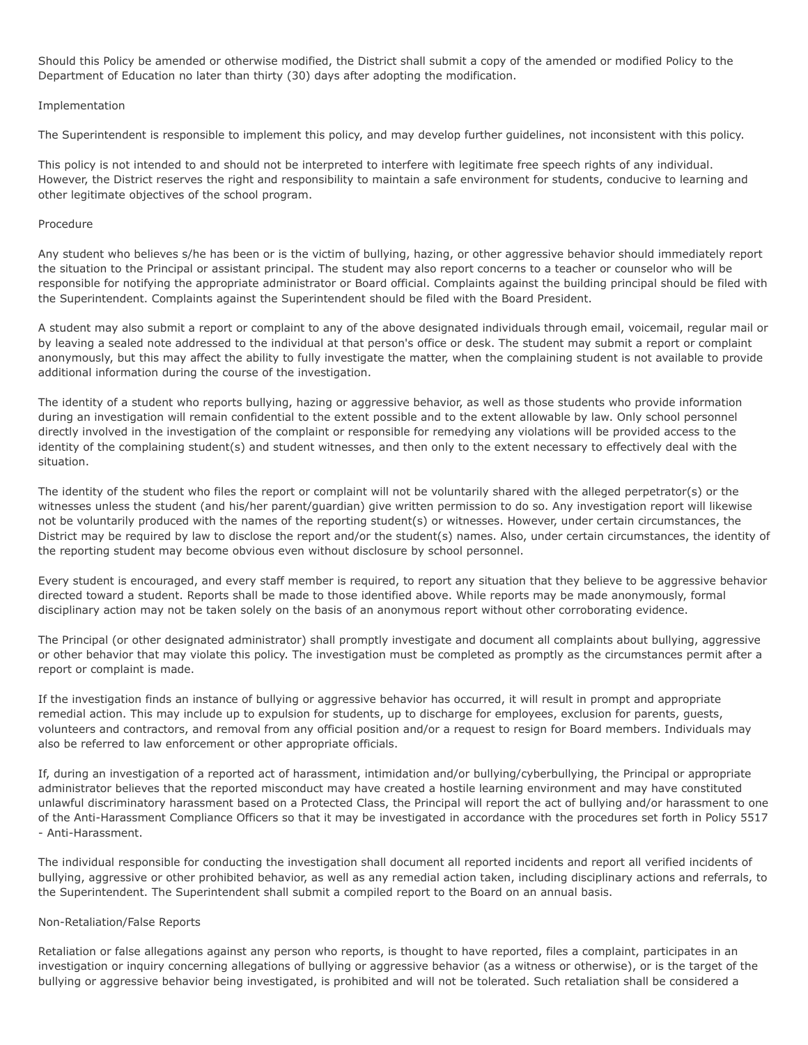Should this Policy be amended or otherwise modified, the District shall submit a copy of the amended or modified Policy to the Department of Education no later than thirty (30) days after adopting the modification.

# Implementation

The Superintendent is responsible to implement this policy, and may develop further guidelines, not inconsistent with this policy.

This policy is not intended to and should not be interpreted to interfere with legitimate free speech rights of any individual. However, the District reserves the right and responsibility to maintain a safe environment for students, conducive to learning and other legitimate objectives of the school program.

## Procedure

Any student who believes s/he has been or is the victim of bullying, hazing, or other aggressive behavior should immediately report the situation to the Principal or assistant principal. The student may also report concerns to a teacher or counselor who will be responsible for notifying the appropriate administrator or Board official. Complaints against the building principal should be filed with the Superintendent. Complaints against the Superintendent should be filed with the Board President.

A student may also submit a report or complaint to any of the above designated individuals through email, voicemail, regular mail or by leaving a sealed note addressed to the individual at that person's office or desk. The student may submit a report or complaint anonymously, but this may affect the ability to fully investigate the matter, when the complaining student is not available to provide additional information during the course of the investigation.

The identity of a student who reports bullying, hazing or aggressive behavior, as well as those students who provide information during an investigation will remain confidential to the extent possible and to the extent allowable by law. Only school personnel directly involved in the investigation of the complaint or responsible for remedying any violations will be provided access to the identity of the complaining student(s) and student witnesses, and then only to the extent necessary to effectively deal with the situation.

The identity of the student who files the report or complaint will not be voluntarily shared with the alleged perpetrator(s) or the witnesses unless the student (and his/her parent/guardian) give written permission to do so. Any investigation report will likewise not be voluntarily produced with the names of the reporting student(s) or witnesses. However, under certain circumstances, the District may be required by law to disclose the report and/or the student(s) names. Also, under certain circumstances, the identity of the reporting student may become obvious even without disclosure by school personnel.

Every student is encouraged, and every staff member is required, to report any situation that they believe to be aggressive behavior directed toward a student. Reports shall be made to those identified above. While reports may be made anonymously, formal disciplinary action may not be taken solely on the basis of an anonymous report without other corroborating evidence.

The Principal (or other designated administrator) shall promptly investigate and document all complaints about bullying, aggressive or other behavior that may violate this policy. The investigation must be completed as promptly as the circumstances permit after a report or complaint is made.

If the investigation finds an instance of bullying or aggressive behavior has occurred, it will result in prompt and appropriate remedial action. This may include up to expulsion for students, up to discharge for employees, exclusion for parents, guests, volunteers and contractors, and removal from any official position and/or a request to resign for Board members. Individuals may also be referred to law enforcement or other appropriate officials.

If, during an investigation of a reported act of harassment, intimidation and/or bullying/cyberbullying, the Principal or appropriate administrator believes that the reported misconduct may have created a hostile learning environment and may have constituted unlawful discriminatory harassment based on a Protected Class, the Principal will report the act of bullying and/or harassment to one of the Anti-Harassment Compliance Officers so that it may be investigated in accordance with the procedures set forth in Policy 5517 - Anti-Harassment.

The individual responsible for conducting the investigation shall document all reported incidents and report all verified incidents of bullying, aggressive or other prohibited behavior, as well as any remedial action taken, including disciplinary actions and referrals, to the Superintendent. The Superintendent shall submit a compiled report to the Board on an annual basis.

#### Non-Retaliation/False Reports

Retaliation or false allegations against any person who reports, is thought to have reported, files a complaint, participates in an investigation or inquiry concerning allegations of bullying or aggressive behavior (as a witness or otherwise), or is the target of the bullying or aggressive behavior being investigated, is prohibited and will not be tolerated. Such retaliation shall be considered a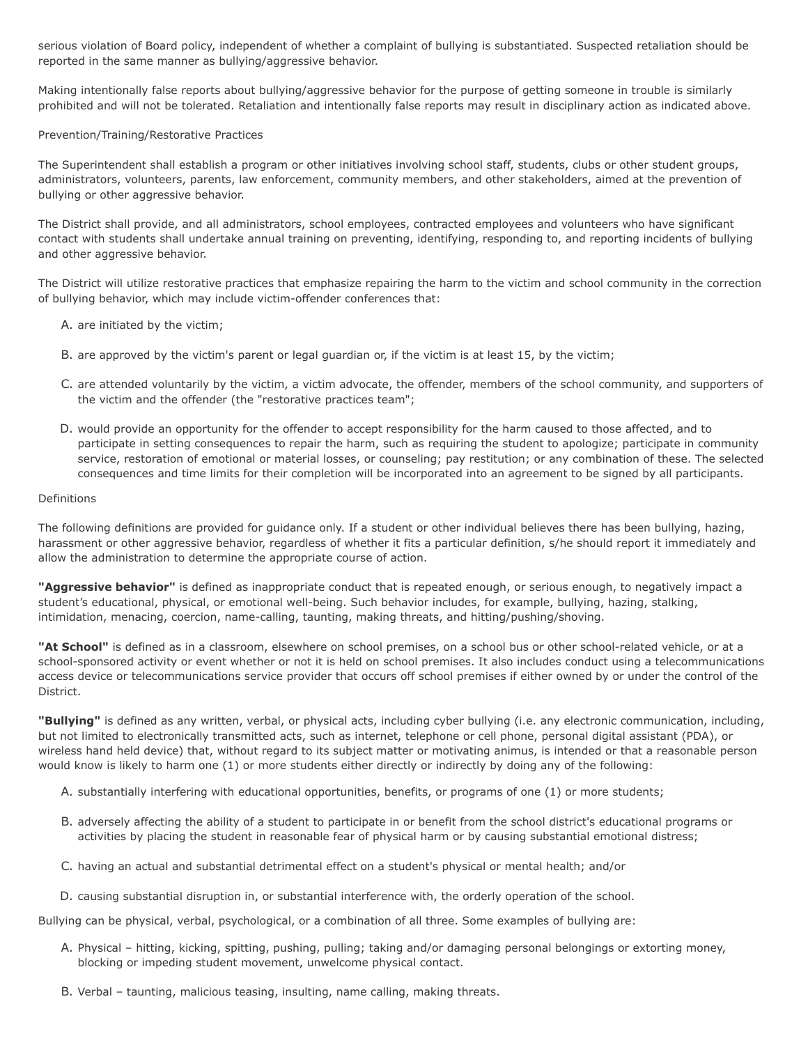serious violation of Board policy, independent of whether a complaint of bullying is substantiated. Suspected retaliation should be reported in the same manner as bullying/aggressive behavior.

Making intentionally false reports about bullying/aggressive behavior for the purpose of getting someone in trouble is similarly prohibited and will not be tolerated. Retaliation and intentionally false reports may result in disciplinary action as indicated above.

# Prevention/Training/Restorative Practices

The Superintendent shall establish a program or other initiatives involving school staff, students, clubs or other student groups, administrators, volunteers, parents, law enforcement, community members, and other stakeholders, aimed at the prevention of bullying or other aggressive behavior.

The District shall provide, and all administrators, school employees, contracted employees and volunteers who have significant contact with students shall undertake annual training on preventing, identifying, responding to, and reporting incidents of bullying and other aggressive behavior.

The District will utilize restorative practices that emphasize repairing the harm to the victim and school community in the correction of bullying behavior, which may include victim-offender conferences that:

- A. are initiated by the victim;
- B. are approved by the victim's parent or legal guardian or, if the victim is at least 15, by the victim;
- C. are attended voluntarily by the victim, a victim advocate, the offender, members of the school community, and supporters of the victim and the offender (the "restorative practices team";
- D. would provide an opportunity for the offender to accept responsibility for the harm caused to those affected, and to participate in setting consequences to repair the harm, such as requiring the student to apologize; participate in community service, restoration of emotional or material losses, or counseling; pay restitution; or any combination of these. The selected consequences and time limits for their completion will be incorporated into an agreement to be signed by all participants.

#### Definitions

The following definitions are provided for guidance only. If a student or other individual believes there has been bullying, hazing, harassment or other aggressive behavior, regardless of whether it fits a particular definition, s/he should report it immediately and allow the administration to determine the appropriate course of action.

**"Aggressive behavior"** is defined as inappropriate conduct that is repeated enough, or serious enough, to negatively impact a student's educational, physical, or emotional well-being. Such behavior includes, for example, bullying, hazing, stalking, intimidation, menacing, coercion, name-calling, taunting, making threats, and hitting/pushing/shoving.

"At School" is defined as in a classroom, elsewhere on school premises, on a school bus or other school-related vehicle, or at a school-sponsored activity or event whether or not it is held on school premises. It also includes conduct using a telecommunications access device or telecommunications service provider that occurs off school premises if either owned by or under the control of the District.

**"Bullying"** is defined as any written, verbal, or physical acts, including cyber bullying (i.e. any electronic communication, including, but not limited to electronically transmitted acts, such as internet, telephone or cell phone, personal digital assistant (PDA), or wireless hand held device) that, without regard to its subject matter or motivating animus, is intended or that a reasonable person would know is likely to harm one (1) or more students either directly or indirectly by doing any of the following:

- A. substantially interfering with educational opportunities, benefits, or programs of one (1) or more students;
- B. adversely affecting the ability of a student to participate in or benefit from the school district's educational programs or activities by placing the student in reasonable fear of physical harm or by causing substantial emotional distress;
- C. having an actual and substantial detrimental effect on a student's physical or mental health; and/or
- D. causing substantial disruption in, or substantial interference with, the orderly operation of the school.

Bullying can be physical, verbal, psychological, or a combination of all three. Some examples of bullying are:

- A. Physical hitting, kicking, spitting, pushing, pulling; taking and/or damaging personal belongings or extorting money, blocking or impeding student movement, unwelcome physical contact.
- B. Verbal taunting, malicious teasing, insulting, name calling, making threats.